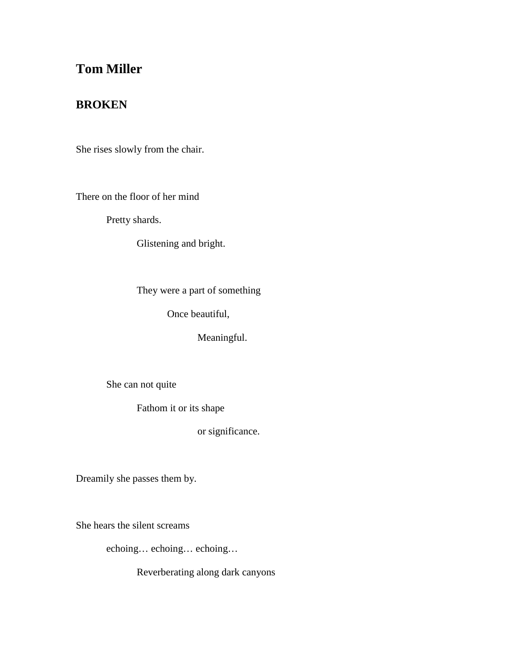## **Tom Miller**

## **BROKEN**

She rises slowly from the chair.

There on the floor of her mind

Pretty shards.

Glistening and bright.

They were a part of something

Once beautiful,

Meaningful.

She can not quite

Fathom it or its shape

or significance.

Dreamily she passes them by.

She hears the silent screams

echoing… echoing… echoing…

Reverberating along dark canyons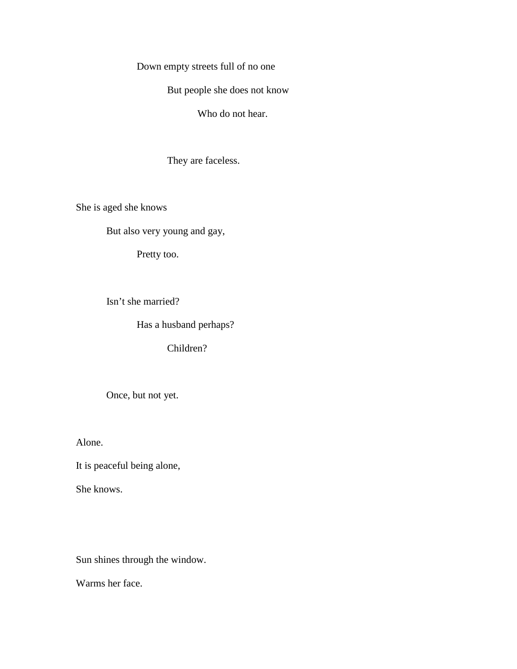Down empty streets full of no one

But people she does not know

Who do not hear.

They are faceless.

She is aged she knows

But also very young and gay,

Pretty too.

Isn't she married?

Has a husband perhaps?

Children?

Once, but not yet.

Alone.

It is peaceful being alone,

She knows.

Sun shines through the window.

Warms her face.